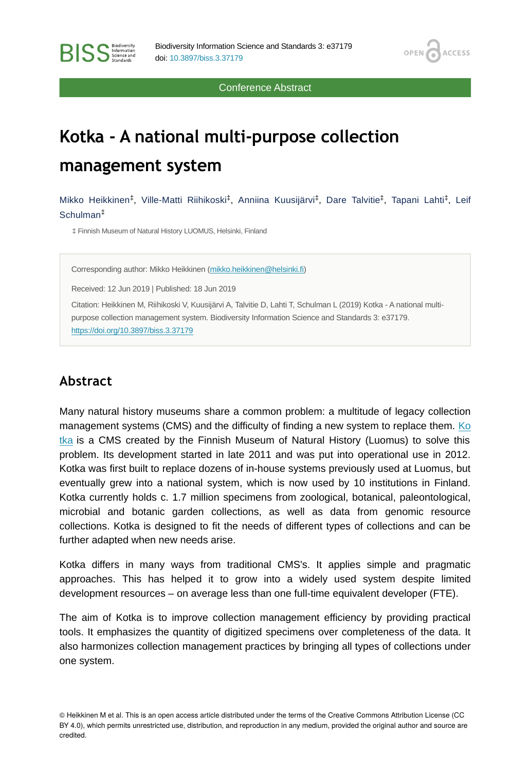Conference Abstract

OPEN<sub>6</sub>

**ACCESS** 

# **Kotka - A national multi-purpose collection management system**

Mikko Heikkinen<sup>‡</sup>, Ville-Matti Riihikoski<sup>‡</sup>, Anniina Kuusijärvi<sup>‡</sup>, Dare Talvitie<sup>‡</sup>, Tapani Lahti<sup>‡</sup>, Leif Schulman ‡

‡ Finnish Museum of Natural History LUOMUS, Helsinki, Finland

Corresponding author: Mikko Heikkinen [\(mikko.heikkinen@helsinki.fi\)](mailto:mikko.heikkinen@helsinki.fi)

Received: 12 Jun 2019 | Published: 18 Jun 2019

Citation: Heikkinen M, Riihikoski V, Kuusijärvi A, Talvitie D, Lahti T, Schulman L (2019) Kotka - A national multipurpose collection management system. Biodiversity Information Science and Standards 3: e37179. <https://doi.org/10.3897/biss.3.37179>

# **Abstract**

Many natural history museums share a common problem: a multitude of legacy collection management systems (CMS) and the difficulty of finding a new system to replace them. [Ko](https://wiki.helsinki.fi/display/digit/Kotka+Collection+Management+System) [tka](https://wiki.helsinki.fi/display/digit/Kotka+Collection+Management+System) is a CMS created by the Finnish Museum of Natural History (Luomus) to solve this problem. Its development started in late 2011 and was put into operational use in 2012. Kotka was first built to replace dozens of in-house systems previously used at Luomus, but eventually grew into a national system, which is now used by 10 institutions in Finland. Kotka currently holds c. 1.7 million specimens from zoological, botanical, paleontological, microbial and botanic garden collections, as well as data from genomic resource collections. Kotka is designed to fit the needs of different types of collections and can be further adapted when new needs arise.

Kotka differs in many ways from traditional CMS's. It applies simple and pragmatic approaches. This has helped it to grow into a widely used system despite limited development resources – on average less than one full-time equivalent developer (FTE).

The aim of Kotka is to improve collection management efficiency by providing practical tools. It emphasizes the quantity of digitized specimens over completeness of the data. It also harmonizes collection management practices by bringing all types of collections under one system.

© Heikkinen M et al. This is an open access article distributed under the terms of the Creative Commons Attribution License (CC BY 4.0), which permits unrestricted use, distribution, and reproduction in any medium, provided the original author and source are credited.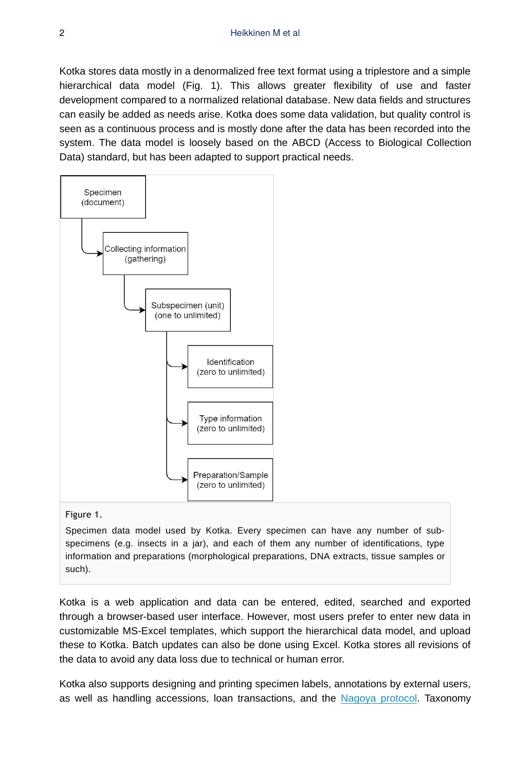Kotka stores data mostly in a denormalized free text format using a triplestore and a simple hierarchical data model (Fig. 1). This allows greater flexibility of use and faster development compared to a normalized relational database. New data fields and structures can easily be added as needs arise. Kotka does some data validation, but quality control is seen as a continuous process and is mostly done after the data has been recorded into the system. The data model is loosely based on the ABCD (Access to Biological Collection Data) standard, but has been adapted to support practical needs.



#### Figure 1.

Specimen data model used by Kotka. Every specimen can have any number of subspecimens (e.g. insects in a jar), and each of them any number of identifications, type information and preparations (morphological preparations, DNA extracts, tissue samples or such).

Kotka is a web application and data can be entered, edited, searched and exported through a browser-based user interface. However, most users prefer to enter new data in customizable MS-Excel templates, which support the hierarchical data model, and upload these to Kotka. Batch updates can also be done using Excel. Kotka stores all revisions of the data to avoid any data loss due to technical or human error.

Kotka also supports designing and printing specimen labels, annotations by external users, as well as handling accessions, loan transactions, and the [Nagoya protocol.](https://www.cbd.int/abs/about/) Taxonomy